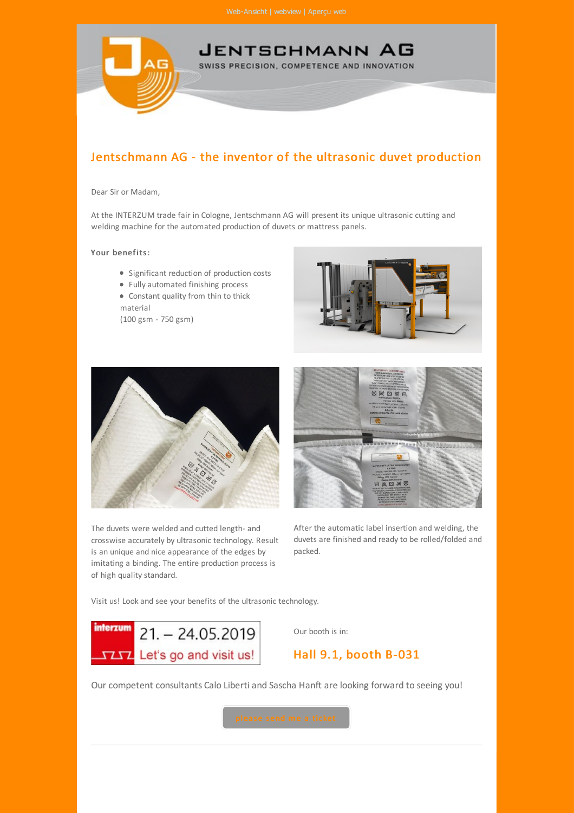

## Jentschmann AG - the inventor of the ultrasonic duvet production

## Dear Sir or Madam,

At the INTERZUM trade fair in Cologne, Jentschmann AG will present its unique ultrasonic cutting and welding machine for the automated production of duvets or mattress panels.

## Your benefits:

- **•** Significant reduction of production costs
- Fully automated finishing process
- Constant quality from thin to thick material

(100 gsm - 750 gsm)





The duvets were welded and cutted length- and crosswise accurately by ultrasonic technology. Result is an unique and nice appearance of the edges by imitating a binding. The entire production process is of high quality standard.



After the automatic label insertion and welding, the duvets are finished and ready to be rolled/folded and packed.

Visit us! Look and see your benefits of the ultrasonic technology.



Our booth is in:

## Hall 9.1, booth B-031

Our competent consultants Calo Liberti and Sascha Hanft are looking forward to seeing you!